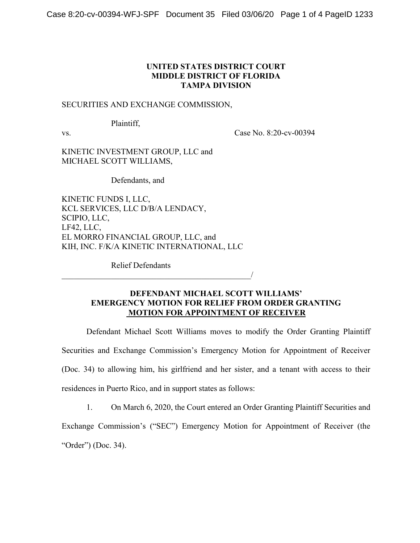## **UNITED STATES DISTRICT COURT MIDDLE DISTRICT OF FLORIDA TAMPA DIVISION**

#### SECURITIES AND EXCHANGE COMMISSION,

Plaintiff,

vs. Case No. 8:20-cv-00394

KINETIC INVESTMENT GROUP, LLC and MICHAEL SCOTT WILLIAMS,

Defendants, and

KINETIC FUNDS I, LLC, KCL SERVICES, LLC D/B/A LENDACY, SCIPIO, LLC, LF42, LLC, EL MORRO FINANCIAL GROUP, LLC, and KIH, INC. F/K/A KINETIC INTERNATIONAL, LLC

 $\overline{\phantom{a}}$ 

Relief Defendants

### **DEFENDANT MICHAEL SCOTT WILLIAMS' EMERGENCY MOTION FOR RELIEF FROM ORDER GRANTING MOTION FOR APPOINTMENT OF RECEIVER**

Defendant Michael Scott Williams moves to modify the Order Granting Plaintiff Securities and Exchange Commission's Emergency Motion for Appointment of Receiver (Doc. 34) to allowing him, his girlfriend and her sister, and a tenant with access to their residences in Puerto Rico, and in support states as follows:

1. On March 6, 2020, the Court entered an Order Granting Plaintiff Securities and Exchange Commission's ("SEC") Emergency Motion for Appointment of Receiver (the "Order") (Doc. 34).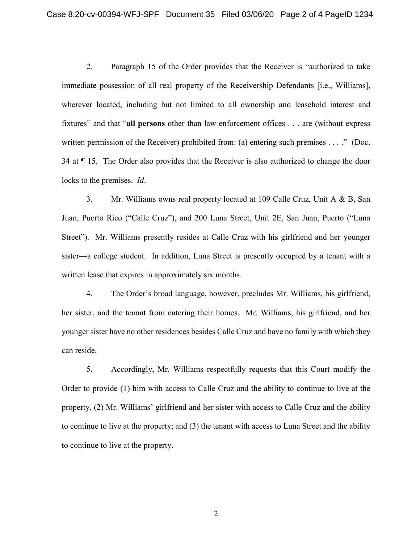2. Paragraph 15 of the Order provides that the Receiver is "authorized to take immediate possession of all real property of the Receivership Defendants [i.e., Williams], wherever located, including but not limited to all ownership and leasehold interest and fixtures" and that "**all persons** other than law enforcement offices . . . are (without express written permission of the Receiver) prohibited from: (a) entering such premises . . . ." (Doc. 34 at ¶ 15. The Order also provides that the Receiver is also authorized to change the door locks to the premises. *Id*.

3. Mr. Williams owns real property located at 109 Calle Cruz, Unit A & B, San Juan, Puerto Rico ("Calle Cruz"), and 200 Luna Street, Unit 2E, San Juan, Puerto ("Luna Street"). Mr. Williams presently resides at Calle Cruz with his girlfriend and her younger sister—a college student. In addition, Luna Street is presently occupied by a tenant with a written lease that expires in approximately six months.

4. The Order's broad language, however, precludes Mr. Williams, his girlfriend, her sister, and the tenant from entering their homes. Mr. Williams, his girlfriend, and her younger sister have no other residences besides Calle Cruz and have no family with which they can reside.

5. Accordingly, Mr. Williams respectfully requests that this Court modify the Order to provide (1) him with access to Calle Cruz and the ability to continue to live at the property, (2) Mr. Williams' girlfriend and her sister with access to Calle Cruz and the ability to continue to live at the property; and (3) the tenant with access to Luna Street and the ability to continue to live at the property.

2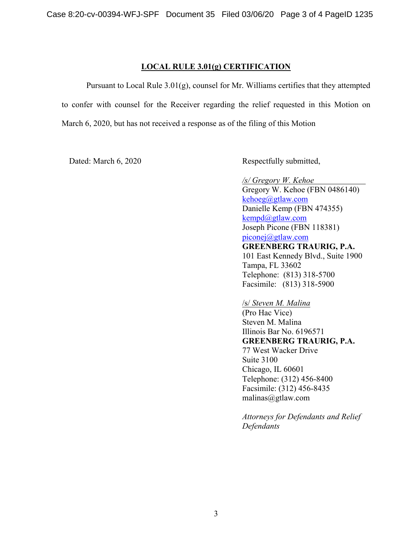### **LOCAL RULE 3.01(g) CERTIFICATION**

Pursuant to Local Rule 3.01(g), counsel for Mr. Williams certifies that they attempted to confer with counsel for the Receiver regarding the relief requested in this Motion on March 6, 2020, but has not received a response as of the filing of this Motion

Dated: March 6, 2020 Respectfully submitted,

*/s/ Gregory W. Kehoe* Gregory W. Kehoe (FBN 0486140) [kehoeg@gtlaw.com](mailto:kehoeg@gtlaw.com) Danielle Kemp (FBN 474355) [kempd@gtlaw.com](mailto:kempd@gtlaw.com) Joseph Picone (FBN 118381) [piconej@gtlaw.com](mailto:piconej@gtlaw.com) **GREENBERG TRAURIG, P.A.**  101 East Kennedy Blvd., Suite 1900 Tampa, FL 33602 Telephone: (813) 318-5700 Facsimile: (813) 318-5900

/s/ *Steven M. Malina* (Pro Hac Vice)

Steven M. Malina Illinois Bar No. 6196571 **GREENBERG TRAURIG, P.A.** 77 West Wacker Drive Suite 3100 Chicago, IL 60601 Telephone: (312) 456-8400 Facsimile: (312) 456-8435 malinas@gtlaw.com

*Attorneys for Defendants and Relief Defendants*